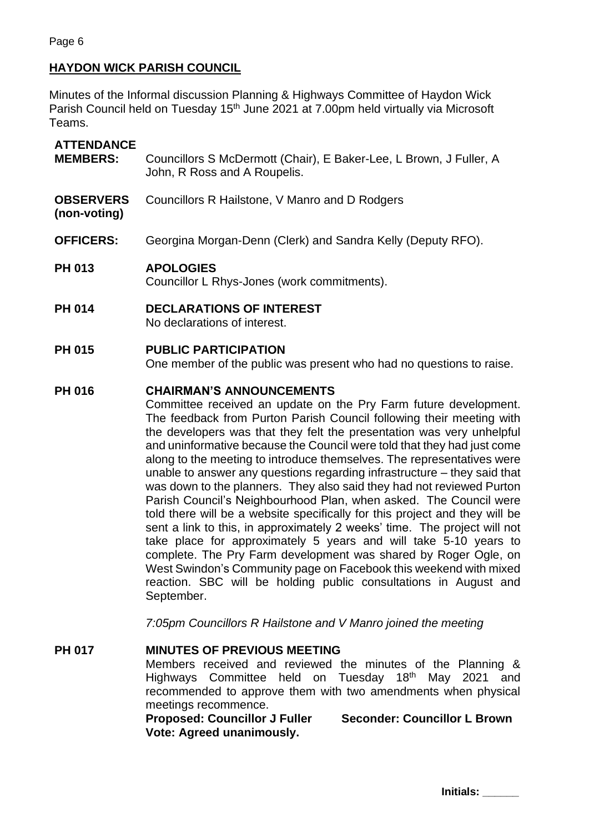## **HAYDON WICK PARISH COUNCIL**

Minutes of the Informal discussion Planning & Highways Committee of Haydon Wick Parish Council held on Tuesday 15<sup>th</sup> June 2021 at 7.00pm held virtually via Microsoft Teams.

# **ATTENDANCE MEMBERS:** Councillors S McDermott (Chair), E Baker-Lee, L Brown, J Fuller, A John, R Ross and A Roupelis. **OBSERVERS (non-voting)** Councillors R Hailstone, V Manro and D Rodgers **OFFICERS:** Georgina Morgan-Denn (Clerk) and Sandra Kelly (Deputy RFO). **PH 013 APOLOGIES** Councillor L Rhys-Jones (work commitments).

**PH 014 DECLARATIONS OF INTEREST** No declarations of interest.

### **PH 015 PUBLIC PARTICIPATION**

One member of the public was present who had no questions to raise.

### **PH 016 CHAIRMAN'S ANNOUNCEMENTS**

Committee received an update on the Pry Farm future development. The feedback from Purton Parish Council following their meeting with the developers was that they felt the presentation was very unhelpful and uninformative because the Council were told that they had just come along to the meeting to introduce themselves. The representatives were unable to answer any questions regarding infrastructure – they said that was down to the planners. They also said they had not reviewed Purton Parish Council's Neighbourhood Plan, when asked. The Council were told there will be a website specifically for this project and they will be sent a link to this, in approximately 2 weeks' time. The project will not take place for approximately 5 years and will take 5-10 years to complete. The Pry Farm development was shared by Roger Ogle, on West Swindon's Community page on Facebook this weekend with mixed reaction. SBC will be holding public consultations in August and September.

*7:05pm Councillors R Hailstone and V Manro joined the meeting*

#### **PH 017 MINUTES OF PREVIOUS MEETING**

Members received and reviewed the minutes of the Planning & Highways Committee held on Tuesday 18<sup>th</sup> May 2021 and recommended to approve them with two amendments when physical meetings recommence.

**Proposed: Councillor J Fuller Seconder: Councillor L Brown Vote: Agreed unanimously.**